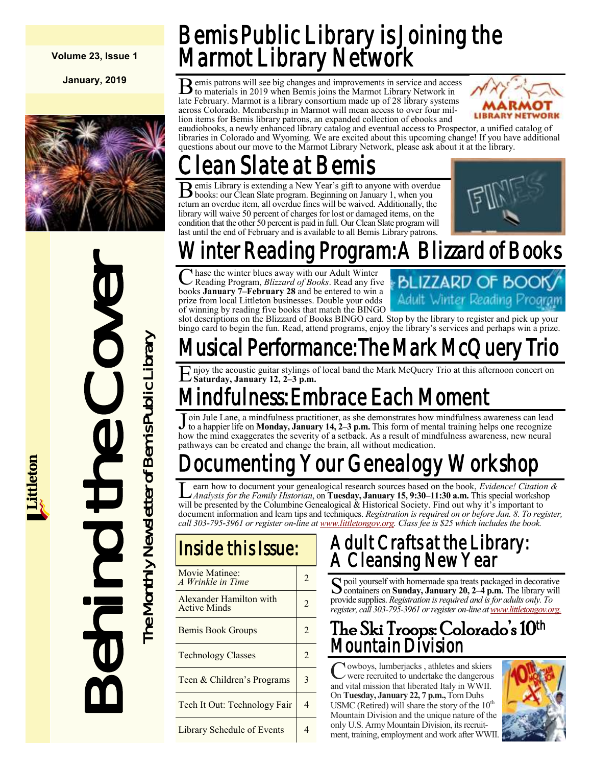**Volume 23, Issue 1**

**January, 2019**



# Behind the Cover 5 The Monthly Newsletter of Bemis Public Library

The Monthly Newsletter of Bemis Public Library

Bemis Public Library is Joining the Marmot Library Network

B emis patrons will see big changes and improvements in service and access to materials in 2019 when Bemis joins the Marmot Library Network in late February. Marmot is a library consortium made up of 28 library systems emis patrons will see big changes and improvements in service and access to materials in 2019 when Bemis joins the Marmot Library Network in across Colorado. Membership in Marmot will mean access to over four million items for Bemis library patrons, an expanded collection of ebooks and



eaudiobooks, a newly enhanced library catalog and eventual access to Prospector, a unified catalog of libraries in Colorado and Wyoming. We are excited about this upcoming change! If you have additional questions about our move to the Marmot Library Network, please ask about it at the library.

# ean Slate at Bemis

B emis Library is extending a New Year's gift to anyone with overdu<br>books: our Clean Slate program. Beginning on January 1, when you emis Library is extending a New Year's gift to anyone with overdue return an overdue item, all overdue fines will be waived. Additionally, the library will waive 50 percent of charges for lost or damaged items, on the condition that the other 50 percent is paid in full. Our Clean Slate program will last until the end of February and is available to all Bemis Library patrons.



# Winter Reading Program: A Blizzard of Books

C hase the winter blues away with our Adult Winter<br>Reading Program, *Blizzard of Books*. Read any five<br>books **January 7–February 28** and be entered to win a hase the winter blues away with our Adult Winter Reading Program, *Blizzard of Books*. Read any five prize from local Littleton businesses. Double your odds of winning by reading five books that match the BINGO



slot descriptions on the Blizzard of Books BINGO card. Stop by the library to register and pick up your bingo card to begin the fun. Read, attend programs, enjoy the library's services and perhaps win a prize.

## Musical Performance: The Mark McQuer

E njoy the acoustic guitar stylings of local band the Mark McQuery Trio at this afternoon concert on Saturday, January 12, 2–3 p.m. **Saturday, January 12, 2–3 p.m.**

# ndfulness: Embrace Each Moment

 $\overline{\text{J}}$ oin Jule Lane, a mindfulness practitioner, as she demonstrates how mindfulness awareness can lead to a happier life on **Monday, January 14, 2–3 p.m.** This form of mental training helps one recognize how the mind exaggerates the severity of a setback. As a result of mindfulness awareness, new neural pathways can be created and change the brain, all without medication.

# Documenting Your Genealogy Workshop

**L**earn how to document your genealogical research sources based on the book, *Evidence! Citation* can *Analysis for the Family Historian*, on **Tuesday, January 15, 9:30–11:30 a.m.** This special workshop earn how to document your genealogical research sources based on the book, *Evidence! Citation &*  will be presented by the Columbine Genealogical & Historical Society. Find out why it's important to document information and learn tips and techniques. *Registration is required on or before Jan. 8. To register, call 303-795-3961 or register on-line at [www.littletongov.org.](https://www.littletongov.org/city-services/city-departments/bemis-library/library-events-calendar/-selcat-3/-curm-1/-cury-2019) Class fee is \$25 which includes the book.*

## Inside this Issue:

| Movie Matinee:<br>A Wrinkle in Time            | 2              |
|------------------------------------------------|----------------|
| Alexander Hamilton with<br><b>Active Minds</b> | $\mathfrak{D}$ |
| <b>Bemis Book Groups</b>                       | 2              |
| <b>Technology Classes</b>                      | $\mathfrak{D}$ |
| Teen & Children's Programs                     | 3              |
| Tech It Out: Technology Fair                   |                |
| Library Schedule of Events                     |                |

## Adult Crafts at the Library: A Cleansing New Year

S poil yourself with homemade spa treats packaged in decorative<br>Containers on Sunday, January 20, 2-4 p.m. The library will containers on **Sunday, January 20, 2–4 p.m.** The library will provide supplies. *Registration is required and is for adults only. To register, call 303-795-3961 or register on-line at [www.littletongov.org.](https://www.littletongov.org/city-services/city-departments/bemis-library/library-events-calendar/-selcat-3/-curm-1/-cury-2019)*

### The Ski Troops: Colorado's 10th Mountain Division

C owboys, lumberjacks, athletes and skiers<br>were recruited to undertake the dangerous owboys, lumberjacks , athletes and skiers and vital mission that liberated Italy in WWII. On **Tuesday, January 22, 7 p.m.,** Tom Duhs USMC (Retired) will share the story of the  $10<sup>th</sup>$ Mountain Division and the unique nature of the only U.S. Army Mountain Division, its recruitment, training, employment and work after WWII.

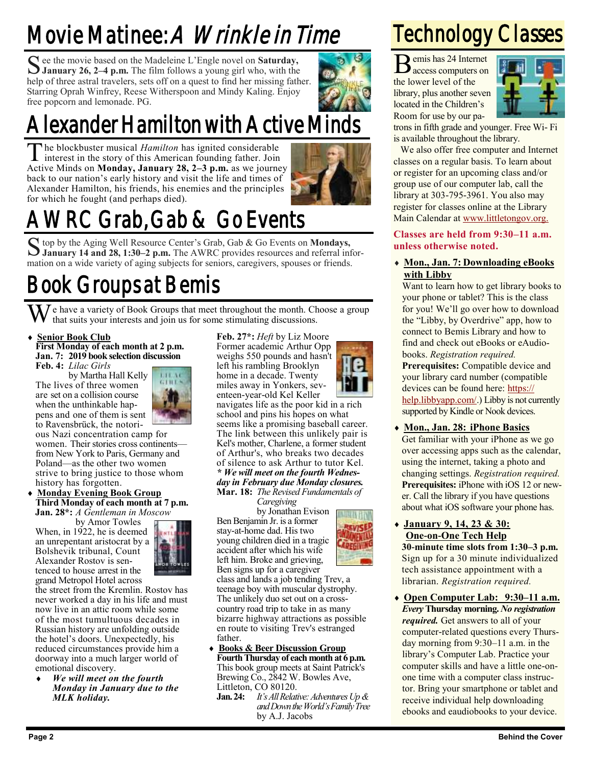# Movie Matinee: A *Wrinkle in Time*

See the movie based on the Madeleine L'Engle novel on **Saturday,**<br>January 26, 2–4 p.m. The film follows a young girl who, with the **January 26, 2–4 p.m.** The film follows a young girl who, with the help of three astral travelers, sets off on a quest to find her missing father. Starring Oprah Winfrey, Reese Witherspoon and Mindy Kaling. Enjoy free popcorn and lemonade. PG.



# Alexander Hamilton with Active Minds

The blockbuster musical *Hamilton* has ignited considerable interest in the story of this American founding father. Join he blockbuster musical *Hamilton* has ignited considerable Active Minds on **Monday, January 28, 2–3 p.m.** as we journey back to our nation's early history and visit the life and times of Alexander Hamilton, his friends, his enemies and the principles for which he fought (and perhaps died).



# AWRC Grab, Gab & Go Events

S top by the Aging Well Resource Center's Grab, Gab & Go Events on **Mondays,**<br>January 14 and 28, 1:30-2 p.m. The AWRC provides resources and referral inf **January 14 and 28, 1:30–2 p.m.** The AWRC provides resources and referral information on a wide variety of aging subjects for seniors, caregivers, spouses or friends.

## Book Groups at Bemis

We have a variety of Book Groups that meet throughout the month. Choose a group that suits your interests and join us for some stimulating discussions.

#### **Senior Book Club First Monday of each month at 2 p.m. Jan. 7: 2019 book selection discussion Feb. 4:** *Lilac Girls*

by Martha Hall Kelly The lives of three women are set on a collision course when the unthinkable happens and one of them is sent to Ravensbrück, the notori-



ous Nazi concentration camp for women. Their stories cross continents from New York to Paris, Germany and Poland—as the other two women strive to bring justice to those whom history has forgotten.

 **Monday Evening Book Group Third Monday of each month at 7 p.m. Jan. 28\*:** *A Gentleman in Moscow*

by Amor Towles When, in 1922, he is deemed an unrepentant aristocrat by a Bolshevik tribunal, Count

Alexander Rostov is sentenced to house arrest in the



grand Metropol Hotel across the street from the Kremlin. Rostov has never worked a day in his life and must now live in an attic room while some of the most tumultuous decades in Russian history are unfolding outside the hotel's doors. Unexpectedly, his reduced circumstances provide him a doorway into a much larger world of emotional discovery.

 *We will meet on the fourth Monday in January due to the MLK holiday.*

**Feb. 27\*:** *Heft* by Liz Moore Former academic Arthur Opp weighs 550 pounds and hasn't left his rambling Brooklyn home in a decade. Twenty miles away in Yonkers, seventeen-year-old Kel Keller



**ESVISE** 

navigates life as the poor kid in a rich school and pins his hopes on what seems like a promising baseball career. The link between this unlikely pair is Kel's mother, Charlene, a former student of Arthur's, who breaks two decades of silence to ask Arthur to tutor Kel. *\* We will meet on the fourth Wednesday in February due Monday closures.* **Mar. 18:** *The Revised Fundamentals of*

*Caregiving*

by Jonathan Evison Ben Benjamin Jr. is a former stay-at-home dad. His two young children died in a tragic accident after which his wife left him. Broke and grieving, Ben signs up for a caregiver

class and lands a job tending Trev, a teenage boy with muscular dystrophy. The unlikely duo set out on a crosscountry road trip to take in as many bizarre highway attractions as possible en route to visiting Trev's estranged father.

- **Books & Beer Discussion Group Fourth Thursday of each month at 6 p.m.** This book group meets at Saint Patrick's Brewing Co., 2842 W. Bowles Ave, Littleton, CO 80120.
	- **Jan. 24:** *It's All Relative: Adventures Up & and Down the World's Family Tree* by A.J. Jacobs

# Technology Classes

B emis has 24 Internet emis has 24 Internet the lower level of the library, plus another seven located in the Children's Room for use by our pa-



trons in fifth grade and younger. Free Wi- Fi is available throughout the library.

We also offer free computer and Internet classes on a regular basis. To learn about or register for an upcoming class and/or group use of our computer lab, call the library at 303-795-3961. You also may register for classes online at the Library Main Calendar at [www.littletongov.org.](https://www.littletongov.org/city-services/city-departments/bemis-library/library-events-calendar/-curm-1/-cury-2019/-selcat-157)

**Classes are held from 9:30–11 a.m. unless otherwise noted.**

 **Mon., Jan. 7: Downloading eBooks with Libby**

Want to learn how to get library books to your phone or tablet? This is the class for you! We'll go over how to download the "Libby, by Overdrive" app, how to connect to Bemis Library and how to find and check out eBooks or eAudiobooks. *Registration required.* **Prerequisites:** Compatible device and your library card number (compatible devices can be found here: [https://](https://help.libbyapp.com/6105.htm) [help.libbyapp.com/.](https://help.libbyapp.com/6105.htm)) Libby is not currently supported by Kindle or Nook devices.

 **Mon., Jan. 28: iPhone Basics** Get familiar with your iPhone as we go over accessing apps such as the calendar, using the internet, taking a photo and changing settings. *Registration required.* **Prerequisites:** iPhone with iOS 12 or newer. Call the library if you have questions about what iOS software your phone has.

 **January 9, 14, 23 & 30: One-on-One Tech Help**

**30-minute time slots from 1:30–3 p.m.** Sign up for a 30 minute individualized tech assistance appointment with a librarian. *Registration required.*

 **Open Computer Lab: 9:30–11 a.m.** *Every* **Thursday morning.** *No registration required.* Get answers to all of your computer-related questions every Thursday morning from 9:30–11 a.m. in the library's Computer Lab. Practice your computer skills and have a little one-onone time with a computer class instructor. Bring your smartphone or tablet and receive individual help downloading ebooks and eaudiobooks to your device.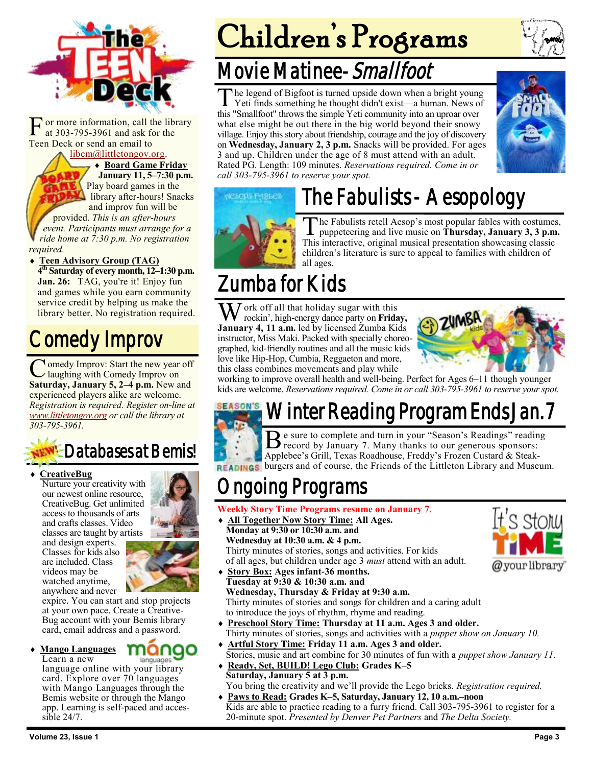

F or more information, call the library at 303-795-3961 and ask for the Teen Deck or send an email to

#### [libem@littletongov.org.](mailto:libem@littletongov.org.)

 **Board Game Friday January 11, 5–7:30 p.m.** Play board games in the library after-hours! Snacks and improv fun will be

provided. *This is an after-hours event. Participants must arrange for a ride home at 7:30 p.m. No registration required.*

#### **Teen Advisory Group (TAG)**

**4 th Saturday of every month, 12–1:30 p.m.** Jan. 26: TAG, you're it! Enjoy fun and games while you earn community service credit by helping us make the library better. No registration required.

## Comedy Improv

Comedy Improv: Start the new year off<br>Saturday, January 5, 2–4 p.m. New and **The omedy Improv: Start the new year off** laughing with Comedy Improv on experienced players alike are welcome. *Registration is required. Register on-line at [www.littletongov.org](https://www.littletongov.org/city-services/city-departments/bemis-library/library-events-calendar/-curm-1/-cury-2019/-selcat-97) or call the library at 303-795-3961.*

## Databases at Bemis!

#### **CreativeBug**

Nurture your creativity with our newest online resource, CreativeBug. Get unlimited access to thousands of arts and crafts classes. Video classes are taught by artists and design experts. Classes for kids also are included. Class videos may be watched anytime, anywhere and never



mano

expire. You can start and stop projects at your own pace. Create a Creative-Bug account with your Bemis library card, email address and a password.

**Mango Languages**

Learn a new languages language online with your library card. Explore over 70 languages with Mango Languages through the Bemis website or through the Mango app. Learning is self-paced and accessible 24/7.

# Children's Programs

## Movie Matinee-Smallfoot

The legend of Bigfoot is turned upside down when a bright youn<br>Yeti finds something he thought didn't exist—a human. News c<br>this "Smallfoot" throws the simple Yeti community into an uproar over he legend of Bigfoot is turned upside down when a bright young Yeti finds something he thought didn't exist—a human. News of what else might be out there in the big world beyond their snowy village. Enjoy this story about friendship, courage and the joy of discovery on **Wednesday, January 2, 3 p.m.** Snacks will be provided. For ages 3 and up. Children under the age of 8 must attend with an adult. Rated PG. Length: 109 minutes. *Reservations required. Come in or call 303-795-3961 to reserve your spot.*



# The Fabulists - Aesopology



T he Fabulists retell Aesop's most popular fables with costumes, puppeteering and live music on **Thursday, January 3, 3 p.m.**  This interactive, original musical presentation showcasing classic children's literature is sure to appeal to families with children of all ages.

## Zumba for Kids

ork off all that holiday sugar with this rockin', high-energy dance party on **Friday, January 4, 11 a.m.** led by licensed Zumba Kids instructor, Miss Maki. Packed with specially choreographed, kid-friendly routines and all the music kids love like Hip-Hop, Cumbia, Reggaeton and more, this class combines movements and play while



working to improve overall health and well-being. Perfect for Ages 6–11 though younger kids are welcome. *Reservations required. Come in or call 303-795-3961 to reserve your spot.*

## Winter Reading Program Ends Jan. 7



Be sure to complete and turn in your "Season's Readings" readings center of by January 7. Many thanks to our generous sponsors: **e** sure to complete and turn in your "Season's Readings" reading Applebee's Grill, Texas Roadhouse, Freddy's Frozen Custard & Steak-**READINGS** burgers and of course, the Friends of the Littleton Library and Museum.

## ngoing Programs

- **Weekly Story Time Programs resume on January 7.**
- **All Together Now Story Time: All Ages. Monday at 9:30 or 10:30 a.m. and Wednesday at 10:30 a.m. & 4 p.m.** Thirty minutes of stories, songs and activities. For kids of all ages, but children under age 3 *must* attend with an adult.
- **Story Box: Ages infant-36 months. Tuesday at 9:30 & 10:30 a.m. and Wednesday, Thursday & Friday at 9:30 a.m.** Thirty minutes of stories and songs for children and a caring adult to introduce the joys of rhythm, rhyme and reading.
- **Preschool Story Time: Thursday at 11 a.m. Ages 3 and older.** Thirty minutes of stories, songs and activities with a *puppet show on January 10.*
- **Artful Story Time: Friday 11 a.m. Ages 3 and older.** Stories, music and art combine for 30 minutes of fun with a *puppet show January 11.*
- **Ready, Set, BUILD! Lego Club: Grades K–5 Saturday, January 5 at 3 p.m.** You bring the creativity and we'll provide the Lego bricks. *Registration required.*
- **Paws to Read: Grades K–5, Saturday, January 12, 10 a.m.–noon** Kids are able to practice reading to a furry friend. Call 303-795-3961 to register for a 20-minute spot. *Presented by Denver Pet Partners* and *The Delta Society.*